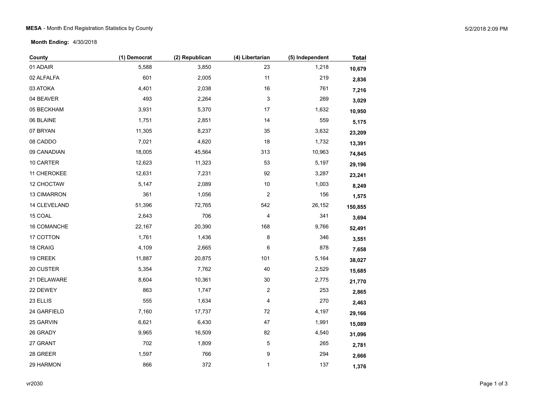## MESA - Month End Registration Statistics by County 600 MHz and the state of the state of the state of the state of the state of the state of the state of the state of the state of the state of the state of the state of the

**Month Ending:** 4/30/2018

| County       | (1) Democrat | (2) Republican | (4) Libertarian | (5) Independent | <b>Total</b> |
|--------------|--------------|----------------|-----------------|-----------------|--------------|
| 01 ADAIR     | 5,588        | 3,850          | 23              | 1,218           | 10,679       |
| 02 ALFALFA   | 601          | 2,005          | 11              | 219             | 2,836        |
| 03 ATOKA     | 4,401        | 2,038          | $16\,$          | 761             | 7,216        |
| 04 BEAVER    | 493          | 2,264          | 3               | 269             | 3,029        |
| 05 BECKHAM   | 3,931        | 5,370          | $17\,$          | 1,632           | 10,950       |
| 06 BLAINE    | 1,751        | 2,851          | 14              | 559             | 5,175        |
| 07 BRYAN     | 11,305       | 8,237          | 35              | 3,632           | 23,209       |
| 08 CADDO     | 7,021        | 4,620          | 18              | 1,732           | 13,391       |
| 09 CANADIAN  | 18,005       | 45,564         | 313             | 10,963          | 74,845       |
| 10 CARTER    | 12,623       | 11,323         | 53              | 5,197           | 29,196       |
| 11 CHEROKEE  | 12,631       | 7,231          | 92              | 3,287           | 23,241       |
| 12 CHOCTAW   | 5,147        | 2,089          | $10$            | 1,003           | 8,249        |
| 13 CIMARRON  | 361          | 1,056          | $\overline{c}$  | 156             | 1,575        |
| 14 CLEVELAND | 51,396       | 72,765         | 542             | 26,152          | 150,855      |
| 15 COAL      | 2,643        | 706            | 4               | 341             | 3,694        |
| 16 COMANCHE  | 22,167       | 20,390         | 168             | 9,766           | 52,491       |
| 17 COTTON    | 1,761        | 1,436          | 8               | 346             | 3,551        |
| 18 CRAIG     | 4,109        | 2,665          | 6               | 878             | 7,658        |
| 19 CREEK     | 11,887       | 20,875         | 101             | 5,164           | 38,027       |
| 20 CUSTER    | 5,354        | 7,762          | 40              | 2,529           | 15,685       |
| 21 DELAWARE  | 8,604        | 10,361         | 30              | 2,775           | 21,770       |
| 22 DEWEY     | 863          | 1,747          | 2               | 253             | 2,865        |
| 23 ELLIS     | 555          | 1,634          | 4               | 270             | 2,463        |
| 24 GARFIELD  | 7,160        | 17,737         | $72\,$          | 4,197           | 29,166       |
| 25 GARVIN    | 6,621        | 6,430          | 47              | 1,991           | 15,089       |
| 26 GRADY     | 9,965        | 16,509         | 82              | 4,540           | 31,096       |
| 27 GRANT     | 702          | 1,809          | $\mathbf 5$     | 265             | 2,781        |
| 28 GREER     | 1,597        | 766            | 9               | 294             | 2,666        |
| 29 HARMON    | 866          | 372            | $\mathbf{1}$    | 137             | 1,376        |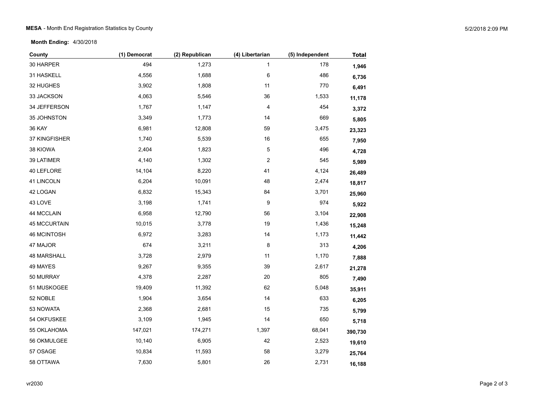**Month Ending:** 4/30/2018

| County              | (1) Democrat | (2) Republican | (4) Libertarian  | (5) Independent | <b>Total</b> |
|---------------------|--------------|----------------|------------------|-----------------|--------------|
| 30 HARPER           | 494          | 1,273          | 1                | 178             | 1,946        |
| 31 HASKELL          | 4,556        | 1,688          | 6                | 486             | 6,736        |
| 32 HUGHES           | 3,902        | 1,808          | 11               | 770             | 6,491        |
| 33 JACKSON          | 4,063        | 5,546          | 36               | 1,533           | 11,178       |
| 34 JEFFERSON        | 1,767        | 1,147          | 4                | 454             | 3,372        |
| 35 JOHNSTON         | 3,349        | 1,773          | 14               | 669             | 5,805        |
| <b>36 KAY</b>       | 6,981        | 12,808         | 59               | 3,475           | 23,323       |
| 37 KINGFISHER       | 1,740        | 5,539          | $16\,$           | 655             | 7,950        |
| 38 KIOWA            | 2,404        | 1,823          | 5                | 496             | 4,728        |
| 39 LATIMER          | 4,140        | 1,302          | $\boldsymbol{2}$ | 545             | 5,989        |
| 40 LEFLORE          | 14,104       | 8,220          | 41               | 4,124           | 26,489       |
| 41 LINCOLN          | 6,204        | 10,091         | 48               | 2,474           | 18,817       |
| 42 LOGAN            | 6,832        | 15,343         | 84               | 3,701           | 25,960       |
| 43 LOVE             | 3,198        | 1,741          | 9                | 974             | 5,922        |
| 44 MCCLAIN          | 6,958        | 12,790         | 56               | 3,104           | 22,908       |
| <b>45 MCCURTAIN</b> | 10,015       | 3,778          | 19               | 1,436           | 15,248       |
| <b>46 MCINTOSH</b>  | 6,972        | 3,283          | 14               | 1,173           | 11,442       |
| 47 MAJOR            | 674          | 3,211          | 8                | 313             | 4,206        |
| 48 MARSHALL         | 3,728        | 2,979          | 11               | 1,170           | 7,888        |
| 49 MAYES            | 9,267        | 9,355          | 39               | 2,617           | 21,278       |
| 50 MURRAY           | 4,378        | 2,287          | $20\,$           | 805             | 7,490        |
| 51 MUSKOGEE         | 19,409       | 11,392         | 62               | 5,048           | 35,911       |
| 52 NOBLE            | 1,904        | 3,654          | 14               | 633             | 6,205        |
| 53 NOWATA           | 2,368        | 2,681          | 15               | 735             | 5,799        |
| 54 OKFUSKEE         | 3,109        | 1,945          | 14               | 650             | 5,718        |
| 55 OKLAHOMA         | 147,021      | 174,271        | 1,397            | 68,041          | 390,730      |
| 56 OKMULGEE         | 10,140       | 6,905          | 42               | 2,523           | 19,610       |
| 57 OSAGE            | 10,834       | 11,593         | 58               | 3,279           | 25,764       |
| 58 OTTAWA           | 7,630        | 5,801          | 26               | 2,731           | 16,188       |